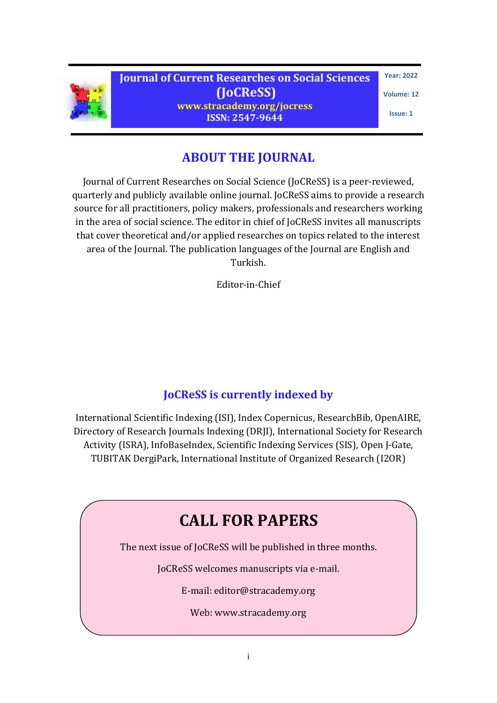

**Journal of Current Researches on Social Sciences (JoCReSS) www.stracademy.org/jocress ISSN: 2547-9644**

**Year: 2022**

**Volume: 12** 

**Issue: 1**

### **ABOUT THE JOURNAL**

Journal of Current Researches on Social Science (JoCReSS) is a peer-reviewed, quarterly and publicly available online journal. JoCReSS aims to provide a research source for all practitioners, policy makers, professionals and researchers working in the area of social science. The editor in chief of JoCReSS invites all manuscripts that cover theoretical and/or applied researches on topics related to the interest area of the Journal. The publication languages of the Journal are English and Turkish.

Editor-in-Chief

### **JoCReSS is currently indexed by**

International Scientific Indexing (ISI), Index Copernicus, ResearchBib, OpenAIRE, Directory of Research Journals Indexing (DRJI), International Society for Research Activity (ISRA), InfoBaseIndex, Scientific Indexing Services (SIS), Open J-Gate, TUBITAK DergiPark, International Institute of Organized Research (I2OR)

# **CALL FOR PAPERS**

The next issue of JoCReSS will be published in three months.

JoCReSS welcomes manuscripts via e-mail.

E-mail: editor@stracademy.org

Web: www.stracademy.org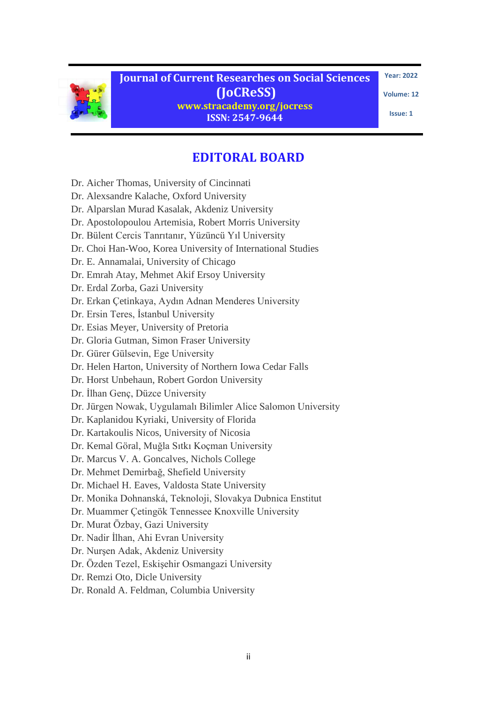

**Year: 2022**

**Volume: 12** 

**Issue: 1**

## **EDITORAL BOARD**

- Dr. Aicher Thomas, University of Cincinnati
- [Dr. Alexsandre Kalache, Oxford University](http://www.ageing.ox.ac.uk/research/regions/africa/afran/members/Alexandre-Kalache)
- Dr. Alparslan Murad Kasalak, Akdeniz University
- Dr. Apostolopoulou Artemisia, Robert Morris University
- [Dr. Bülent Cercis Tanrıtanır, Yüzüncü Yıl University](http://www.yyu.edu.tr/abis/akademik/index.php?personel_id=NDE11)
- Dr. Choi Han-Woo, Korea University of International Studies
- Dr. E. Annamalai, University of Chicago
- Dr. Emrah Atay, Mehmet Akif Ersoy University
- [Dr. Erdal Zorba, Gazi University](http://websitem.gazi.edu.tr/site/erdalzorba)
- Dr. Erkan Çetinkaya, Aydın Adnan Menderes University
- [Dr. Ersin Teres, İstanbul University](http://edebiyat.istanbul.edu.tr/cagdasturklehceleri/?p=6355)
- Dr. Esias Meyer, University of Pretoria
- Dr. Gloria Gutman, Simon Fraser University
- [Dr. Gürer Gülsevin, Ege University](http://akademik.ege.edu.tr/?q=tr/bilgiler&id=1310)
- Dr. Helen Harton, University of Northern Iowa Cedar Falls
- [Dr. Horst Unbehaun, Robert Gordon University](http://www.rgu.ac.uk/22D1D120-4D94-11E1-85B2000D609CAA9F)
- [Dr. İlhan Genç, Düzce University](http://web.deu.edu.tr/ilyas/genc/debis_cv.pdf)
- [Dr. Jürgen Nowak, Uygulamalı Bilimler Alice Salomon University](http://j-nowak.de/)
- Dr. Kaplanidou Kyriaki, University of Florida
- Dr. Kartakoulis Nicos, University of Nicosia
- Dr. Kemal Göral, Muğla Sıtkı Koçman University
- Dr. Marcus V. A. Goncalves, Nichols College
- Dr. Mehmet Demirbağ, Shefield University
- Dr. Michael H. Eaves, Valdosta State University
- [Dr. Monika Dohnanská, Teknoloji, Slovakya Dubnica Enstitut](http://www.dupres-group.com/index.php?id=1&company=5&action=show_page&id_menu_item=392)
- Dr. Muammer Çetingök Tennessee Knoxville University
- [Dr. Murat Özbay, Gazi University](http://w3.gazi.edu.tr/~mozbay/ozgecmis.htm)
- [Dr. Nadir İlhan, Ahi Evran University](http://fef.ahievran.edu.tr/dosyalar/ozgecmisler/tde/nadirilhan_cv.pdf)
- [Dr. Nurşen Adak, Akdeniz University](http://sosyoloji.edebiyat.akdeniz.edu.tr/akademik-personel.i2.prof-dr-nursen-adak)
- [Dr. Özden Tezel, Eskişehir Osmangazi University](http://egitim.ogu.edu.tr/files/ozden_tezel2015.pdf)
- Dr. Remzi Oto, Dicle University
- [Dr. Ronald A. Feldman, Columbia University](http://socialwork.columbia.edu/faculty/ronald-feldman)